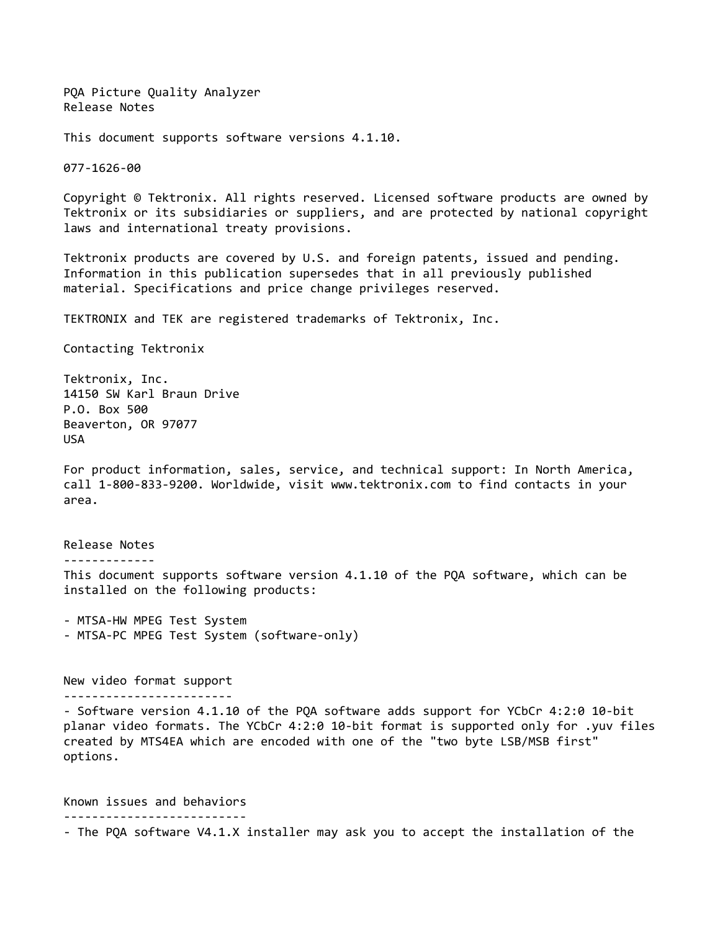PQA Picture Quality Analyzer Release Notes

This document supports software versions 4.1.10.

077-1626-00

Copyright © Tektronix. All rights reserved. Licensed software products are owned by Tektronix or its subsidiaries or suppliers, and are protected by national copyright laws and international treaty provisions.

Tektronix products are covered by U.S. and foreign patents, issued and pending. Information in this publication supersedes that in all previously published material. Specifications and price change privileges reserved.

TEKTRONIX and TEK are registered trademarks of Tektronix, Inc.

Contacting Tektronix

Tektronix, Inc. 14150 SW Karl Braun Drive P.O. Box 500 Beaverton, OR 97077 USA

For product information, sales, service, and technical support: In North America, call 1-800-833-9200. Worldwide, visit www.tektronix.com to find contacts in your area.

Release Notes ------------- This document supports software version 4.1.10 of the PQA software, which can be installed on the following products:

- MTSA-HW MPEG Test System - MTSA-PC MPEG Test System (software-only)

New video format support ------------------------

- Software version 4.1.10 of the PQA software adds support for YCbCr 4:2:0 10-bit planar video formats. The YCbCr 4:2:0 10-bit format is supported only for .yuv files created by MTS4EA which are encoded with one of the "two byte LSB/MSB first" options.

Known issues and behaviors -------------------------- - The PQA software V4.1.X installer may ask you to accept the installation of the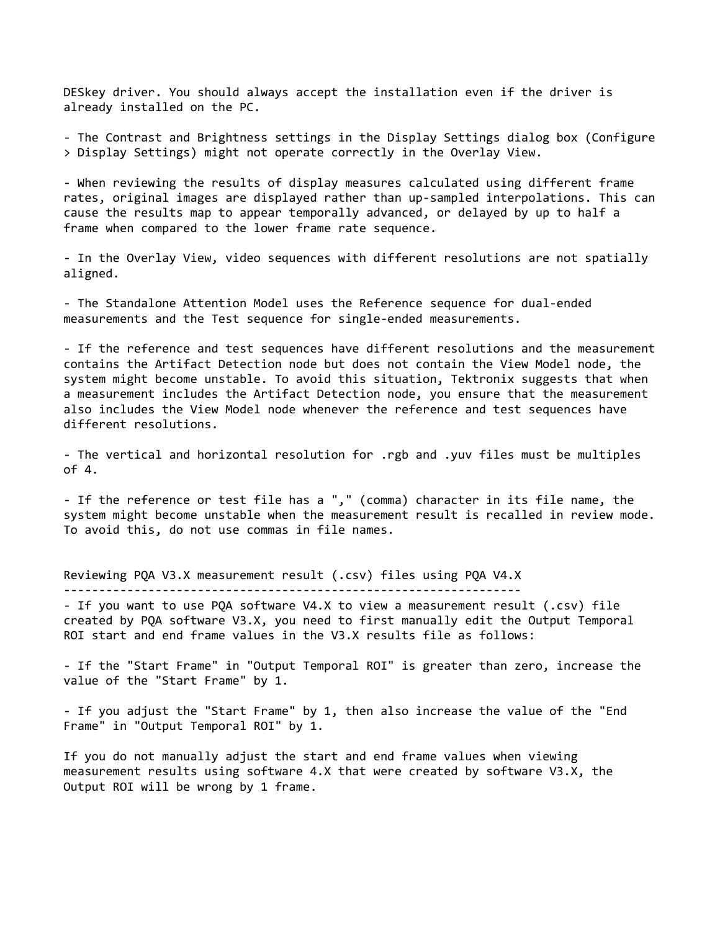DESkey driver. You should always accept the installation even if the driver is already installed on the PC.

- The Contrast and Brightness settings in the Display Settings dialog box (Configure > Display Settings) might not operate correctly in the Overlay View.

- When reviewing the results of display measures calculated using different frame rates, original images are displayed rather than up-sampled interpolations. This can cause the results map to appear temporally advanced, or delayed by up to half a frame when compared to the lower frame rate sequence.

- In the Overlay View, video sequences with different resolutions are not spatially aligned.

- The Standalone Attention Model uses the Reference sequence for dual-ended measurements and the Test sequence for single-ended measurements.

- If the reference and test sequences have different resolutions and the measurement contains the Artifact Detection node but does not contain the View Model node, the system might become unstable. To avoid this situation, Tektronix suggests that when a measurement includes the Artifact Detection node, you ensure that the measurement also includes the View Model node whenever the reference and test sequences have different resolutions.

- The vertical and horizontal resolution for .rgb and .yuv files must be multiples of 4.

- If the reference or test file has a "," (comma) character in its file name, the system might become unstable when the measurement result is recalled in review mode. To avoid this, do not use commas in file names.

Reviewing PQA V3.X measurement result (.csv) files using PQA V4.X -----------------------------------------------------------------

- If you want to use PQA software V4.X to view a measurement result (.csv) file created by PQA software V3.X, you need to first manually edit the Output Temporal ROI start and end frame values in the V3.X results file as follows:

- If the "Start Frame" in "Output Temporal ROI" is greater than zero, increase the value of the "Start Frame" by 1.

- If you adjust the "Start Frame" by 1, then also increase the value of the "End Frame" in "Output Temporal ROI" by 1.

If you do not manually adjust the start and end frame values when viewing measurement results using software 4.X that were created by software V3.X, the Output ROI will be wrong by 1 frame.